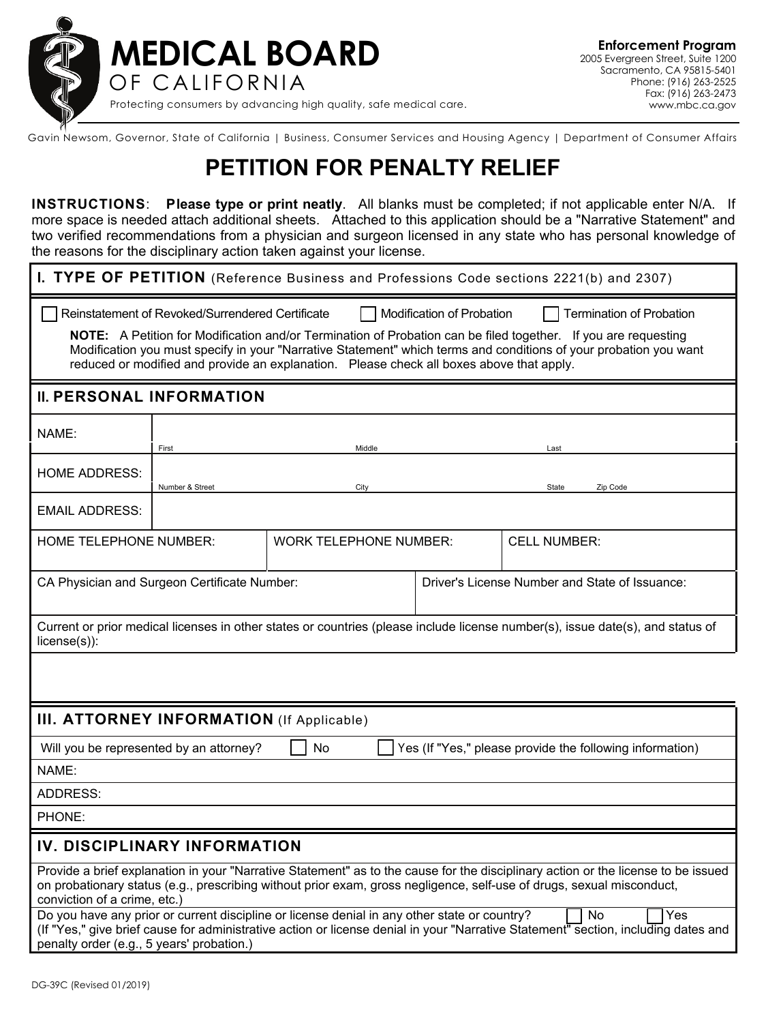

Gavin Newsom, Governor, State of California | Business, Consumer Services and Housing Agency | Department of Consumer Affairs

## **PETITION FOR PENALTY RELIEF**

**INSTRUCTIONS**: **Please type or print neatly**. All blanks must be completed; if not applicable enter N/A. If more space is needed attach additional sheets. Attached to this application should be a "Narrative Statement" and two verified recommendations from a physician and surgeon licensed in any state who has personal knowledge of the reasons for the disciplinary action taken against your license.

| I. TYPE OF PETITION (Reference Business and Professions Code sections 2221(b) and 2307)                                                                                                                                                                                                                                                                                                                                                             |                                                                |      |      |                                                |  |  |  |
|-----------------------------------------------------------------------------------------------------------------------------------------------------------------------------------------------------------------------------------------------------------------------------------------------------------------------------------------------------------------------------------------------------------------------------------------------------|----------------------------------------------------------------|------|------|------------------------------------------------|--|--|--|
| Reinstatement of Revoked/Surrendered Certificate<br>Modification of Probation<br><b>Termination of Probation</b><br>NOTE: A Petition for Modification and/or Termination of Probation can be filed together. If you are requesting<br>Modification you must specify in your "Narrative Statement" which terms and conditions of your probation you want<br>reduced or modified and provide an explanation. Please check all boxes above that apply. |                                                                |      |      |                                                |  |  |  |
| <b>II. PERSONAL INFORMATION</b>                                                                                                                                                                                                                                                                                                                                                                                                                     |                                                                |      |      |                                                |  |  |  |
| NAME:                                                                                                                                                                                                                                                                                                                                                                                                                                               | Middle<br>First                                                |      | Last |                                                |  |  |  |
| <b>HOME ADDRESS:</b>                                                                                                                                                                                                                                                                                                                                                                                                                                | Number & Street                                                | City |      | Zip Code<br>State                              |  |  |  |
| <b>EMAIL ADDRESS:</b>                                                                                                                                                                                                                                                                                                                                                                                                                               |                                                                |      |      |                                                |  |  |  |
|                                                                                                                                                                                                                                                                                                                                                                                                                                                     | <b>HOME TELEPHONE NUMBER:</b><br><b>WORK TELEPHONE NUMBER:</b> |      |      | <b>CELL NUMBER:</b>                            |  |  |  |
| CA Physician and Surgeon Certificate Number:                                                                                                                                                                                                                                                                                                                                                                                                        |                                                                |      |      | Driver's License Number and State of Issuance: |  |  |  |
| Current or prior medical licenses in other states or countries (please include license number(s), issue date(s), and status of<br>$license(s)$ :                                                                                                                                                                                                                                                                                                    |                                                                |      |      |                                                |  |  |  |
|                                                                                                                                                                                                                                                                                                                                                                                                                                                     |                                                                |      |      |                                                |  |  |  |
| <b>III. ATTORNEY INFORMATION</b> (If Applicable)                                                                                                                                                                                                                                                                                                                                                                                                    |                                                                |      |      |                                                |  |  |  |
| Yes (If "Yes," please provide the following information)<br>Will you be represented by an attorney?<br>No                                                                                                                                                                                                                                                                                                                                           |                                                                |      |      |                                                |  |  |  |
| NAME:                                                                                                                                                                                                                                                                                                                                                                                                                                               |                                                                |      |      |                                                |  |  |  |
| <b>ADDRESS:</b>                                                                                                                                                                                                                                                                                                                                                                                                                                     |                                                                |      |      |                                                |  |  |  |
| PHONE:                                                                                                                                                                                                                                                                                                                                                                                                                                              |                                                                |      |      |                                                |  |  |  |
| IV. DISCIPLINARY INFORMATION                                                                                                                                                                                                                                                                                                                                                                                                                        |                                                                |      |      |                                                |  |  |  |
| Provide a brief explanation in your "Narrative Statement" as to the cause for the disciplinary action or the license to be issued<br>on probationary status (e.g., prescribing without prior exam, gross negligence, self-use of drugs, sexual misconduct,<br>conviction of a crime, etc.)                                                                                                                                                          |                                                                |      |      |                                                |  |  |  |
| Do you have any prior or current discipline or license denial in any other state or country?<br>Yes<br>No<br>(If "Yes," give brief cause for administrative action or license denial in your "Narrative Statement" section, including dates and<br>penalty order (e.g., 5 years' probation.)                                                                                                                                                        |                                                                |      |      |                                                |  |  |  |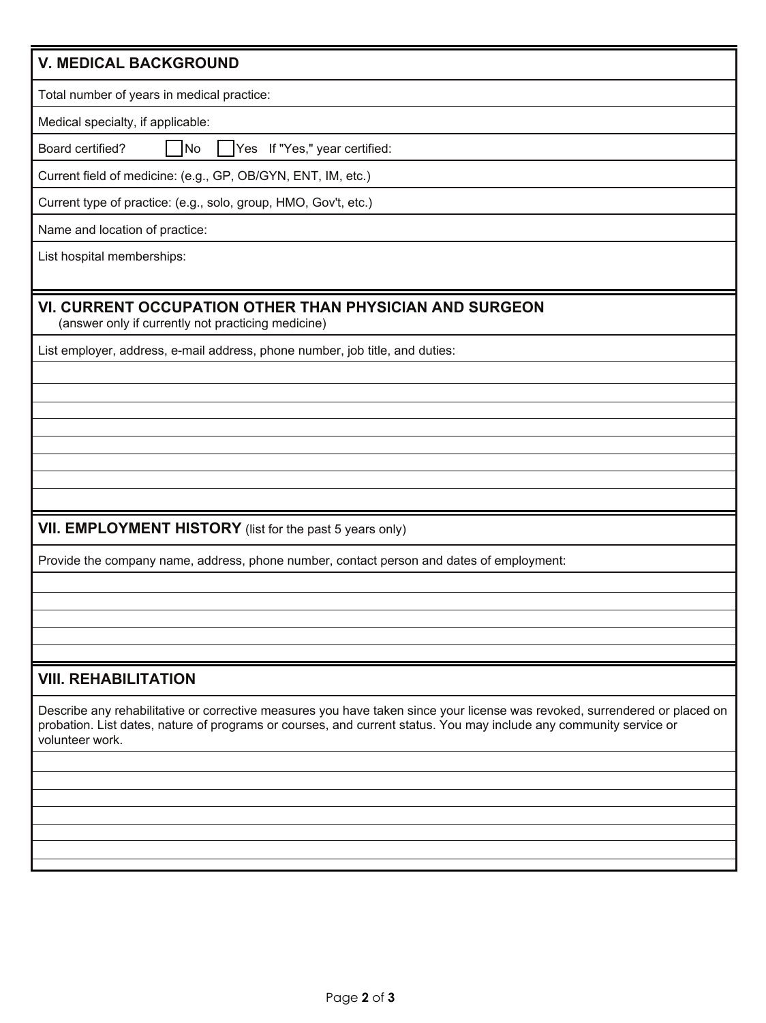|  | <b>V. MEDICAL BACKGROUND</b> |
|--|------------------------------|
|--|------------------------------|

Total number of years in medical practice:

Medical specialty, if applicable:

Board certified? INo I IYes If "Yes," year certified:

Current field of medicine: (e.g., GP, OB/GYN, ENT, IM, etc.)

Current type of practice: (e.g., solo, group, HMO, Gov't, etc.)

Name and location of practice:

List hospital memberships:

## **VI. CURRENT OCCUPATION OTHER THAN PHYSICIAN AND SURGEON**

(answer only if currently not practicing medicine)

List employer, address, e-mail address, phone number, job title, and duties:

## **VII. EMPLOYMENT HISTORY** (list for the past 5 years only)

Provide the company name, address, phone number, contact person and dates of employment:

## **VIII. REHABILITATION**

Describe any rehabilitative or corrective measures you have taken since your license was revoked, surrendered or placed on probation. List dates, nature of programs or courses, and current status. You may include any community service or volunteer work.